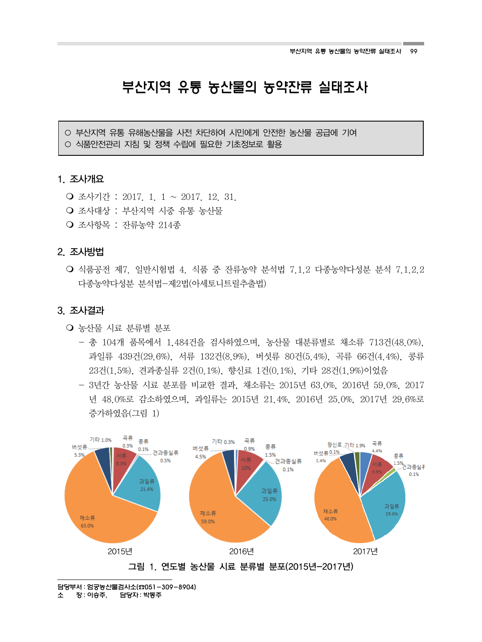# 부산지역 유통 농산물의 농약잔류 실태조사

○ 부산지역 유통 유해농산물을 사전 차단하여 시민에게 안전한 농산물 공급에 기여 ○ 식품안전관리 지침 및 정책 수립에 필요한 기초정보로 활용

#### 1. 조사개요

- 조사기간 : 2017. 1. 1 ~ 2017. 12. 31.
- 조사대상 : 부산지역 시중 유통 농산물
- 조사항목 : 자류농약 214종

# 2. 조사방법

 $\bigcirc$  식품공전 제7. 일반시험법 4. 식품 중 자류농약 분석법 7.1.2 다종농약다성분 분석 7.1.2.2 다종농약다성분 분석법-제2법(아세토니트릴추출법)

#### 3. 조사결과

#### 농산물 시료 분류별 분포

- 총 104개 품목에서 1,484건을 검사하였으며, 농산물 대분류별로 채소류 713건(48.0%), 과일류 439건(29.6%), 서류 132건(8.9%), 버섯류 80건(5.4%), 곡류 66건(4.4%), 콩류 23건(1.5%), 견과종실류 2건(0.1%), 향신료 1건(0.1%), 기타 28건(1.9%)이었음
- 3년간 농산물 시료 분포를 비교한 결과, 채소류는 2015년 63.0%, 2016년 59.0%, 2017 년 48.0%로 감소하였으며, 과일류는 2015년 21.4%, 2016년 25.0%, 2017년 29.6%로 증가하였음(그림 1)



담당부서 : 엄궁농산물검사소(☎051-309-8904)

#### 소 장 : 이승주, 담당자 : 박동주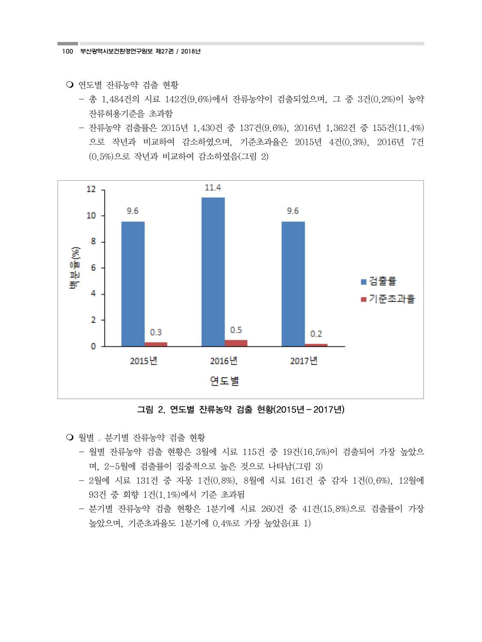○ 연도별 자류농약 검출 현황

- 총 1,484건의 시료 142건(9.6%)에서 잔류농약이 검출되었으며, 그 중 3건(0.2%)이 농약 잔류허용기준을 초과함
- 잔류농약 검출률은 2015년 1,430건 중 137건(9.6%), 2016년 1,362건 중 155건(11.4%) 으로 작년과 비교하여 감소하였으며, 기준초과율은 2015년 4건(0.3%), 2016년 7건 (0.5%)으로 작년과 비교하여 감소하였음(그림 2)



그림 2. 연도별 잔류농약 검출 현황(2015년 - 2017년)

- 월별 . 부기별 자류농약 검출 현황
	- 월별 잔류농약 검출 현황은 3월에 시료 115건 중 19건(16.5%)이 검출되어 가장 높았으 며, 2-5월에 검출률이 집중적으로 높은 것으로 나타남(그림 3)
	- 2월에 시료 131건 중 자몽 1건(0.8%), 8월에 시료 161건 중 감자 1건(0.6%), 12월에 93건 중 회향 1건(1.1%)에서 기준 초과됨
	- 분기별 잔류농약 검출 현황은 1분기에 시료 260건 중 41건(15.8%)으로 검출률이 가장 높았으며, 기준초과율도 1분기에 0.4%로 가장 높았음(표 1)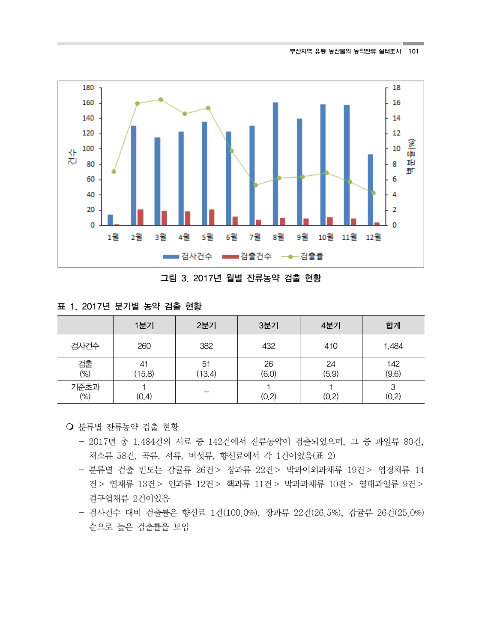

그림 3. 2017년 월별 잔류농약 검출 현황

# 표 1. 2017년 분기별 농약 검출 현황

|              | 1분기          | 2분기          | 3분기         | 4분기         | 합계           |
|--------------|--------------|--------------|-------------|-------------|--------------|
| 검사건수         | 260          | 382          | 432         | 410         | 1,484        |
| 검출<br>$(\%)$ | 41<br>(15.8) | 51<br>(13.4) | 26<br>(6.0) | 24<br>(5.9) | 142<br>(9.6) |
| 기준초과<br>(%)  | (0.4)        |              | (0.2)       | (0.2)       | (0.2)        |

분류별 잔류농약 검출 현황

- 2017년 총 1,484건의 시료 중 142건에서 잔류농약이 검출되었으며, 그 중 과일류 80건, 채소류 58건, 곡류, 서류, 버섯류, 향신료에서 각 1건이었음(표 2)
- 분류별 검출 빈도는 감귤류 26건> 장과류 22건> 박과이외과채류 19건> 엽경채류 14 건> 엽채류 13건> 인과류 12건> 핵과류 11건> 박과과채류 10건> 열대과일류 9건> 결구엽채류 2건이었음
- 검사건수 대비 검출률은 향신료 1건(100.0%), 장과류 22건(26.5%), 감귤류 26건(25.0%) 순으로 높은 검출률을 보임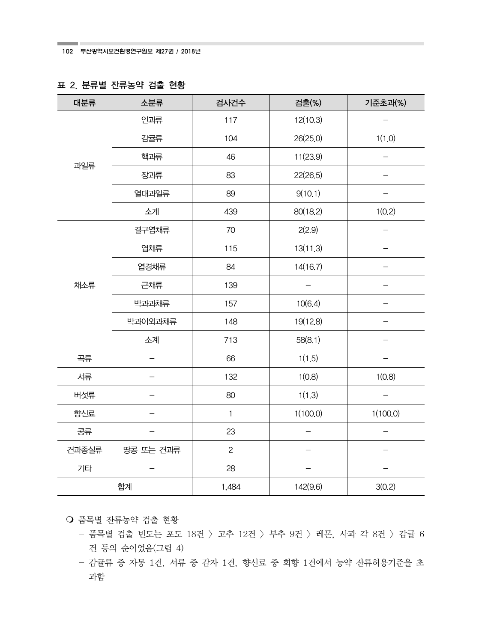| 대분류                | 소분류     | 검사건수         | 검출(%)    | 기준초과(%)  |
|--------------------|---------|--------------|----------|----------|
| 과일류                | 인과류     | 117          | 12(10.3) |          |
|                    | 감귤류     | 104          | 26(25.0) | 1(1.0)   |
|                    | 핵과류     | 46           | 11(23.9) |          |
|                    | 장과류     | 83           | 22(26.5) |          |
|                    | 열대과일류   | 89           | 9(10.1)  |          |
|                    | 소계      | 439          | 80(18.2) | 1(0.2)   |
| 채소류                | 결구엽채류   | 70           | 2(2.9)   |          |
|                    | 엽채류     | 115          | 13(11.3) |          |
|                    | 엽경채류    | 84           | 14(16.7) |          |
|                    | 근채류     | 139          |          |          |
|                    | 박과과채류   | 157          | 10(6.4)  |          |
|                    | 박과이외과채류 | 148          | 19(12.8) |          |
|                    | 소계      | 713          | 58(8.1)  |          |
| 곡류                 |         | 66           | 1(1.5)   |          |
| 서류                 |         | 132          | 1(0.8)   | 1(0.8)   |
| 버섯류                |         | 80           | 1(1.3)   |          |
| 향신료                |         | $\mathbf{1}$ | 1(100.0) | 1(100.0) |
| 콩류                 |         | 23           |          |          |
| 견과종실류<br>땅콩 또는 견과류 |         | $\mathbf{2}$ |          |          |
| 기타                 |         | 28           |          |          |
| 합계                 |         | 1,484        | 142(9.6) | 3(0.2)   |

# 표 2. 분류별 잔류농약 검출 현황

**Contract Contract** 

품목별 잔류농약 검출 현황

- 품목별 검출 빈도는 포도 18건 > 고추 12건 > 부추 9건 > 레몬, 사과 각 8건 > 감귤 6 건 등의 순이었음(그림 4)
- 감귤류 중 자몽 1건, 서류 중 감자 1건, 향신료 중 회향 1건에서 농약 잔류허용기준을 초 과함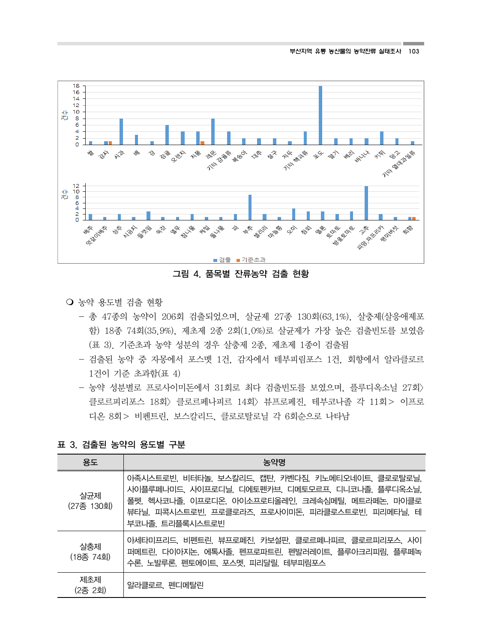

그림 4. 품목별 잔류농약 검출 현황

- 농약 용도별 검출 현황
	- 총 47종의 농약이 206회 검출되었으며, 살균제 27종 130회(63.1%), 살충제(살응애제포 함) 18종 74회(35.9%), 제초제 2종 2회(1.0%)로 살균제가 가장 높은 검출빈도를 보였음 (표 3). 기준초과 농약 성분의 경우 살충제 2종, 제초제 1종이 검출됨
	- 검출된 농약 중 자몽에서 포스멧 1건, 감자에서 테부피림포스 1건, 회향에서 알라클로르 1건이 기준 초과함(표 4)
	- 농약 성분별로 프로사이미돈에서 31회로 최다 검출빈도를 보였으며, 플루디옥소닐 27회> 클로르피리포스 18회> 클로르페나피르 14회> 뷰프로페진, 테부코나졸 각 11회> 이프로 디온 8회> 비펜트린, 보스칼리드, 클로로탈로닐 각 6회순으로 나타남

# 표 3. 검출된 농약의 용도별 구분

| 용도                | 농약명                                                                                                                                                                                                                              |
|-------------------|----------------------------------------------------------------------------------------------------------------------------------------------------------------------------------------------------------------------------------|
| 살균제<br>(27종 130회) | 아족시스트로빈, 비터타놀, 보스칼리드, 캡탄, 카벤다짐, 키노메티오네이트, 클로로탈로닐,<br>사이플루페나미드, 사이프로디닐, 디에토펜카브, 디메토모르프, 디니코나졸, 플루디옥소닐,<br>폴펫, 헥사코나졸, 이프로디온, 아이소프로티올레인, 크레속심메틸, 메트라페논, 마이클로<br>뷰타닐, 피콕시스트로빈, 프로클로라즈, 프로사이미돈, 피라클로스트로빈, 피리메타닐, 테<br>부코나졸, 트리플록시스트로빈 |
| 살충제<br>(18종 74회)  | 아세타미프리드, 비펜트린, 뷰프로페진, 카보설판, 클로르페나피르, 클로르피리포스, 사이<br>퍼메트린, 다이아지논, 에톡사졸, 펜프로파트린, 펜발러레이트, 플루아크리피림, 플루페녹<br>수론, 노발루론, 펜토에이트, 포스멧, 피리달릴, 테부피림포스                                                                                       |
| 제초제<br>(2종 2회)    | 알라클로르, 펜디메탈린                                                                                                                                                                                                                     |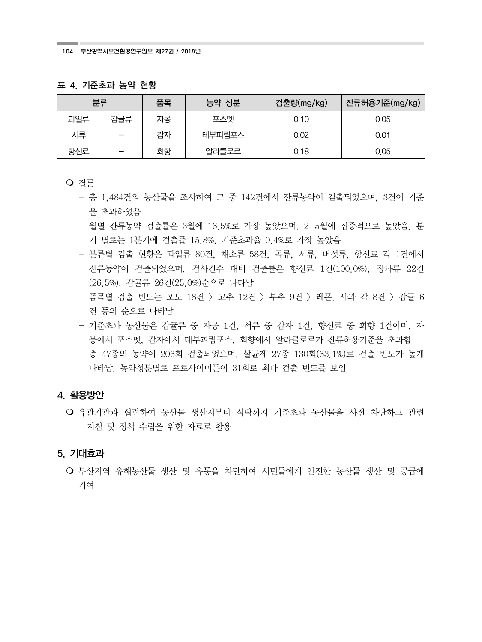#### 표 4. 기준초과 농약 현황

| 분류  |     | 품목 | 농약 성분  | 검출량(mg/kg) | 잔류허용기준(mg/kg) |
|-----|-----|----|--------|------------|---------------|
| 과일류 | 감귤류 | 자몽 | 포스멧    | 0.10       | 0.05          |
| 서류  |     | 감자 | 테부피림포스 | 0.02       | 0.01          |
| 향신료 |     | 회향 | 알라클로르  | 0,18       | 0.05          |

결론

- 총 1,484건의 농산물을 조사하여 그 중 142건에서 잔류농약이 검출되었으며, 3건이 기준 을 초과하였음
- 월별 잔류농약 검출률은 3월에 16.5%로 가장 높았으며, 2-5월에 집중적으로 높았음. 분 기 별로는 1분기에 검출률 15.8%, 기준초과율 0.4%로 가장 높았음
- 분류별 검출 현황은 과일류 80건, 채소류 58건, 곡류, 서류, 버섯류, 향신료 각 1건에서 잔류농약이 검출되었으며, 검사건수 대비 검출률은 향신료 1건(100.0%), 장과류 22건 (26.5%), 감귤류 26건(25.0%)순으로 나타남
- 품목별 검출 빈도는 포도 18건 > 고추 12건 > 부추 9건 > 레몬, 사과 각 8건 > 감귤 6 건 등의 순으로 나타남
- 기준초과 농산물은 감귤류 중 자몽 1건, 서류 중 감자 1건, 향신료 중 회향 1건이며, 자 몽에서 포스멧, 감자에서 테부피림포스, 회향에서 알라클로르가 잔류허용기준을 초과함
- 총 47종의 농약이 206회 검출되었으며, 살균제 27종 130회(63.1%)로 검출 빈도가 높게 나타남. 농약성분별로 프로사이미돈이 31회로 최다 검출 빈도를 보임

#### 4. 활용방안

○ 유관기관과 협력하여 농산물 생산지부터 식탁까지 기준초과 농산물을 사전 차단하고 관련 지침 및 정책 수립을 위한 자료로 활용

### 5. 기대효과

○ 부산지역 유해농산물 생산 및 유통을 차단하여 시민들에게 안전한 농산물 생산 및 공급에 기여